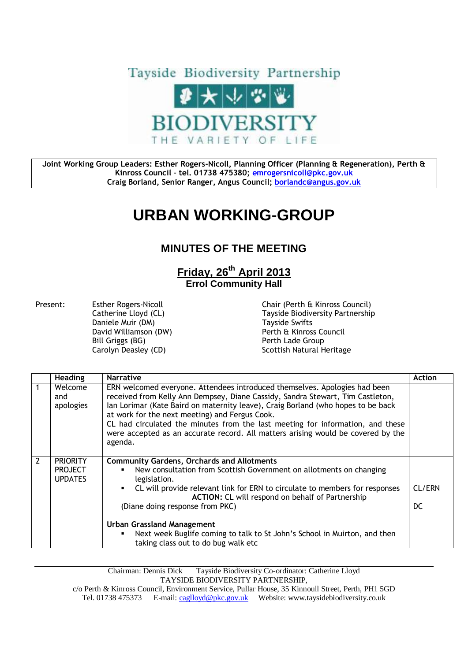

**Joint Working Group Leaders: Esther Rogers-Nicoll, Planning Officer (Planning & Regeneration), Perth & Kinross Council – tel. 01738 475380; [emrogersnicoll@pkc.gov.uk](mailto:emrogersnicoll@pkc.gov.uk) Craig Borland, Senior Ranger, Angus Council; [borlandc@angus.gov.uk](mailto:borlandc@angus.gov.uk)**

## **URBAN WORKING-GROUP**

## **MINUTES OF THE MEETING**

## **Friday, 26 th April 2013 Errol Community Hall**

Present: Esther Rogers-Nicoll Chair (Perth & Kinross Council)<br>Catherine Lloyd (CL) Catherine Cloyde Chair (Payside Biodiversity Partnershi Daniele Muir (DM)<br>
David Williamson (DW)<br>
David Williamson (DW)<br>
Solid Mulliamson (DW) Bill Griggs (BG) **Perth Lade Group** 

Tayside Biodiversity Partnership Perth & Kinross Council Carolyn Deasley (CD) Scottish Natural Heritage

|                | <b>Heading</b>                                      | <b>Narrative</b>                                                                                                                                                                                                                                                                                                                                                                                                                                                                    | <b>Action</b> |
|----------------|-----------------------------------------------------|-------------------------------------------------------------------------------------------------------------------------------------------------------------------------------------------------------------------------------------------------------------------------------------------------------------------------------------------------------------------------------------------------------------------------------------------------------------------------------------|---------------|
|                | Welcome<br>and<br>apologies                         | ERN welcomed everyone. Attendees introduced themselves. Apologies had been<br>received from Kelly Ann Dempsey, Diane Cassidy, Sandra Stewart, Tim Castleton,<br>Ian Lorimar (Kate Baird on maternity leave), Craig Borland (who hopes to be back<br>at work for the next meeting) and Fergus Cook.<br>CL had circulated the minutes from the last meeting for information, and these<br>were accepted as an accurate record. All matters arising would be covered by the<br>agenda. |               |
| $\overline{2}$ | <b>PRIORITY</b><br><b>PROJECT</b><br><b>UPDATES</b> | <b>Community Gardens, Orchards and Allotments</b><br>New consultation from Scottish Government on allotments on changing<br>legislation.<br>CL will provide relevant link for ERN to circulate to members for responses<br><b>ACTION: CL will respond on behalf of Partnership</b><br>(Diane doing response from PKC)<br>Urban Grassland Management<br>Next week Buglife coming to talk to St John's School in Muirton, and then<br>taking class out to do bug walk etc             | CL/ERN<br>DC. |

Chairman: Dennis Dick Tayside Biodiversity Co-ordinator: Catherine Lloyd TAYSIDE BIODIVERSITY PARTNERSHIP,

c/o Perth & Kinross Council, Environment Service, Pullar House, 35 Kinnoull Street, Perth, PH1 5GD Tel. 01738 475373 E-mail[: caglloyd@pkc.gov.uk](mailto:caglloyd@pkc.gov.uk) Website: www.taysidebiodiversity.co.uk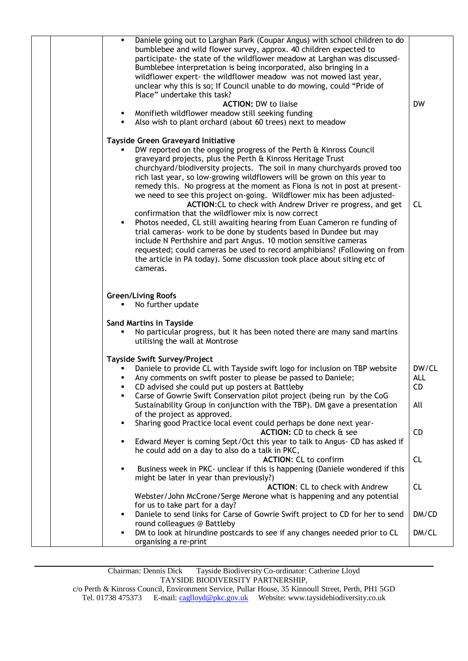| Daniele going out to Larghan Park (Coupar Angus) with school children to do<br>٠<br>bumblebee and wild flower survey, approx. 40 children expected to<br>participate- the state of the wildflower meadow at Larghan was discussed-<br>Bumblebee interpretation is being incorporated, also bringing in a<br>wildflower expert- the wildflower meadow was not mowed last year,<br>unclear why this is so; If Council unable to do mowing, could "Pride of<br>Place" undertake this task?<br><b>DW</b><br><b>ACTION: DW to liaise</b><br>• Monifieth wildflower meadow still seeking funding<br>Also wish to plant orchard (about 60 trees) next to meadow<br>٠<br>Tayside Green Graveyard Initiative<br>DW reported on the ongoing progress of the Perth & Kinross Council<br>graveyard projects, plus the Perth & Kinross Heritage Trust<br>churchyard/biodiversity projects. The soil in many churchyards proved too<br>rich last year, so low-growing wildflowers will be grown on this year to<br>remedy this. No progress at the moment as Fiona is not in post at present-<br>we need to see this project on-going. Wildflower mix has been adjusted-<br>ACTION: CL to check with Andrew Driver re progress, and get<br><b>CL</b><br>confirmation that the wildflower mix is now correct<br>Photos needed, CL still awaiting hearing from Euan Cameron re funding of<br>trial cameras- work to be done by students based in Dundee but may<br>include N Perthshire and part Angus. 10 motion sensitive cameras<br>requested; could cameras be used to record amphibians? (Following on from<br>the article in PA today). Some discussion took place about siting etc of<br>cameras.<br><b>Green/Living Roofs</b><br>No further update<br><b>Sand Martins in Tayside</b><br>No particular progress, but it has been noted there are many sand martins<br>utilising the wall at Montrose<br><b>Tayside Swift Survey/Project</b><br>Daniele to provide CL with Tayside swift logo for inclusion on TBP website<br>DW/CL<br>Any comments on swift poster to please be passed to Daniele;<br><b>ALL</b><br>CD<br>CD advised she could put up posters at Battleby<br>Carse of Gowrie Swift Conservation pilot project (being run by the CoG<br>٠<br>Sustainability Group in conjunction with the TBP). DM gave a presentation<br>All<br>of the project as approved.<br>Sharing good Practice local event could perhaps be done next year-<br>ACTION: CD to check & see<br><b>CD</b><br>Edward Meyer is coming Sept/Oct this year to talk to Angus- CD has asked if<br>he could add on a day to also do a talk in PKC,<br><b>ACTION: CL to confirm</b><br><b>CL</b><br>Business week in PKC- unclear if this is happening (Daniele wondered if this<br>might be later in year than previously?)<br><b>ACTION: CL to check with Andrew</b><br><b>CL</b><br>Webster/John McCrone/Serge Merone what is happening and any potential |  |
|-------------------------------------------------------------------------------------------------------------------------------------------------------------------------------------------------------------------------------------------------------------------------------------------------------------------------------------------------------------------------------------------------------------------------------------------------------------------------------------------------------------------------------------------------------------------------------------------------------------------------------------------------------------------------------------------------------------------------------------------------------------------------------------------------------------------------------------------------------------------------------------------------------------------------------------------------------------------------------------------------------------------------------------------------------------------------------------------------------------------------------------------------------------------------------------------------------------------------------------------------------------------------------------------------------------------------------------------------------------------------------------------------------------------------------------------------------------------------------------------------------------------------------------------------------------------------------------------------------------------------------------------------------------------------------------------------------------------------------------------------------------------------------------------------------------------------------------------------------------------------------------------------------------------------------------------------------------------------------------------------------------------------------------------------------------------------------------------------------------------------------------------------------------------------------------------------------------------------------------------------------------------------------------------------------------------------------------------------------------------------------------------------------------------------------------------------------------------------------------------------------------------------------------------------------------------------------------------------------------------------------------------------------------------------------------------------------------------------------------------------------------------------------------------------------------------------------------------------------------------------------------------------------------------------------|--|
|                                                                                                                                                                                                                                                                                                                                                                                                                                                                                                                                                                                                                                                                                                                                                                                                                                                                                                                                                                                                                                                                                                                                                                                                                                                                                                                                                                                                                                                                                                                                                                                                                                                                                                                                                                                                                                                                                                                                                                                                                                                                                                                                                                                                                                                                                                                                                                                                                                                                                                                                                                                                                                                                                                                                                                                                                                                                                                                               |  |
|                                                                                                                                                                                                                                                                                                                                                                                                                                                                                                                                                                                                                                                                                                                                                                                                                                                                                                                                                                                                                                                                                                                                                                                                                                                                                                                                                                                                                                                                                                                                                                                                                                                                                                                                                                                                                                                                                                                                                                                                                                                                                                                                                                                                                                                                                                                                                                                                                                                                                                                                                                                                                                                                                                                                                                                                                                                                                                                               |  |
|                                                                                                                                                                                                                                                                                                                                                                                                                                                                                                                                                                                                                                                                                                                                                                                                                                                                                                                                                                                                                                                                                                                                                                                                                                                                                                                                                                                                                                                                                                                                                                                                                                                                                                                                                                                                                                                                                                                                                                                                                                                                                                                                                                                                                                                                                                                                                                                                                                                                                                                                                                                                                                                                                                                                                                                                                                                                                                                               |  |
|                                                                                                                                                                                                                                                                                                                                                                                                                                                                                                                                                                                                                                                                                                                                                                                                                                                                                                                                                                                                                                                                                                                                                                                                                                                                                                                                                                                                                                                                                                                                                                                                                                                                                                                                                                                                                                                                                                                                                                                                                                                                                                                                                                                                                                                                                                                                                                                                                                                                                                                                                                                                                                                                                                                                                                                                                                                                                                                               |  |
|                                                                                                                                                                                                                                                                                                                                                                                                                                                                                                                                                                                                                                                                                                                                                                                                                                                                                                                                                                                                                                                                                                                                                                                                                                                                                                                                                                                                                                                                                                                                                                                                                                                                                                                                                                                                                                                                                                                                                                                                                                                                                                                                                                                                                                                                                                                                                                                                                                                                                                                                                                                                                                                                                                                                                                                                                                                                                                                               |  |
|                                                                                                                                                                                                                                                                                                                                                                                                                                                                                                                                                                                                                                                                                                                                                                                                                                                                                                                                                                                                                                                                                                                                                                                                                                                                                                                                                                                                                                                                                                                                                                                                                                                                                                                                                                                                                                                                                                                                                                                                                                                                                                                                                                                                                                                                                                                                                                                                                                                                                                                                                                                                                                                                                                                                                                                                                                                                                                                               |  |
| for us to take part for a day?                                                                                                                                                                                                                                                                                                                                                                                                                                                                                                                                                                                                                                                                                                                                                                                                                                                                                                                                                                                                                                                                                                                                                                                                                                                                                                                                                                                                                                                                                                                                                                                                                                                                                                                                                                                                                                                                                                                                                                                                                                                                                                                                                                                                                                                                                                                                                                                                                                                                                                                                                                                                                                                                                                                                                                                                                                                                                                |  |
| Daniele to send links for Carse of Gowrie Swift project to CD for her to send<br>DM/CD<br>round colleagues @ Battleby<br>DM/CL<br>DM to look at hirundine postcards to see if any changes needed prior to CL<br>٠<br>organising a re-print                                                                                                                                                                                                                                                                                                                                                                                                                                                                                                                                                                                                                                                                                                                                                                                                                                                                                                                                                                                                                                                                                                                                                                                                                                                                                                                                                                                                                                                                                                                                                                                                                                                                                                                                                                                                                                                                                                                                                                                                                                                                                                                                                                                                                                                                                                                                                                                                                                                                                                                                                                                                                                                                                    |  |

Chairman: Dennis Dick Tayside Biodiversity Co-ordinator: Catherine Lloyd TAYSIDE BIODIVERSITY PARTNERSHIP,

c/o Perth & Kinross Council, Environment Service, Pullar House, 35 Kinnoull Street, Perth, PH1 5GD Tel. 01738 475373 E-mail[: caglloyd@pkc.gov.uk](mailto:caglloyd@pkc.gov.uk) Website: www.taysidebiodiversity.co.uk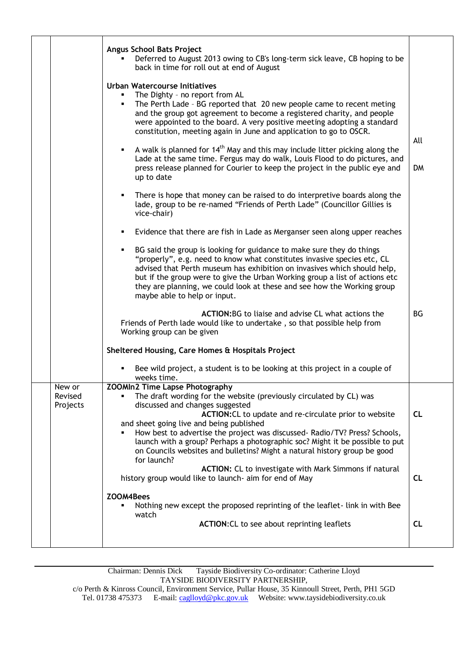|                               | <b>Angus School Bats Project</b><br>Deferred to August 2013 owing to CB's long-term sick leave, CB hoping to be<br>back in time for roll out at end of August                                                                                                                                                                                                                                                                                                                                    |           |
|-------------------------------|--------------------------------------------------------------------------------------------------------------------------------------------------------------------------------------------------------------------------------------------------------------------------------------------------------------------------------------------------------------------------------------------------------------------------------------------------------------------------------------------------|-----------|
|                               | <b>Urban Watercourse Initiatives</b><br>The Dighty - no report from AL<br>The Perth Lade - BG reported that 20 new people came to recent meting<br>٠<br>and the group got agreement to become a registered charity, and people<br>were appointed to the board. A very positive meeting adopting a standard<br>constitution, meeting again in June and application to go to OSCR.                                                                                                                 | All       |
|                               | A walk is planned for $14th$ May and this may include litter picking along the<br>٠<br>Lade at the same time. Fergus may do walk, Louis Flood to do pictures, and<br>press release planned for Courier to keep the project in the public eye and<br>up to date                                                                                                                                                                                                                                   | <b>DM</b> |
|                               | There is hope that money can be raised to do interpretive boards along the<br>٠<br>lade, group to be re-named "Friends of Perth Lade" (Councillor Gillies is<br>vice-chair)                                                                                                                                                                                                                                                                                                                      |           |
|                               | Evidence that there are fish in Lade as Merganser seen along upper reaches<br>٠                                                                                                                                                                                                                                                                                                                                                                                                                  |           |
|                               | BG said the group is looking for guidance to make sure they do things<br>٠<br>"properly", e.g. need to know what constitutes invasive species etc, CL<br>advised that Perth museum has exhibition on invasives which should help,<br>but if the group were to give the Urban Working group a list of actions etc<br>they are planning, we could look at these and see how the Working group<br>maybe able to help or input.                                                                      |           |
|                               | <b>ACTION:</b> BG to liaise and advise CL what actions the<br>Friends of Perth lade would like to undertake, so that possible help from<br>Working group can be given                                                                                                                                                                                                                                                                                                                            | <b>BG</b> |
|                               | Sheltered Housing, Care Homes & Hospitals Project                                                                                                                                                                                                                                                                                                                                                                                                                                                |           |
|                               | Bee wild project, a student is to be looking at this project in a couple of<br>weeks time.                                                                                                                                                                                                                                                                                                                                                                                                       |           |
| New or<br>Revised<br>Projects | <b>ZOOMIn2 Time Lapse Photography</b><br>The draft wording for the website (previously circulated by CL) was<br>discussed and changes suggested<br>ACTION: CL to update and re-circulate prior to website<br>and sheet going live and being published<br>How best to advertise the project was discussed- Radio/TV? Press? Schools,<br>launch with a group? Perhaps a photographic soc? Might it be possible to put<br>on Councils websites and bulletins? Might a natural history group be good | <b>CL</b> |
|                               | for launch?<br>ACTION: CL to investigate with Mark Simmons if natural<br>history group would like to launch- aim for end of May                                                                                                                                                                                                                                                                                                                                                                  | <b>CL</b> |
|                               | ZOOM4Bees<br>Nothing new except the proposed reprinting of the leaflet-link in with Bee                                                                                                                                                                                                                                                                                                                                                                                                          |           |
|                               | watch<br>ACTION: CL to see about reprinting leaflets                                                                                                                                                                                                                                                                                                                                                                                                                                             | <b>CL</b> |
|                               |                                                                                                                                                                                                                                                                                                                                                                                                                                                                                                  |           |